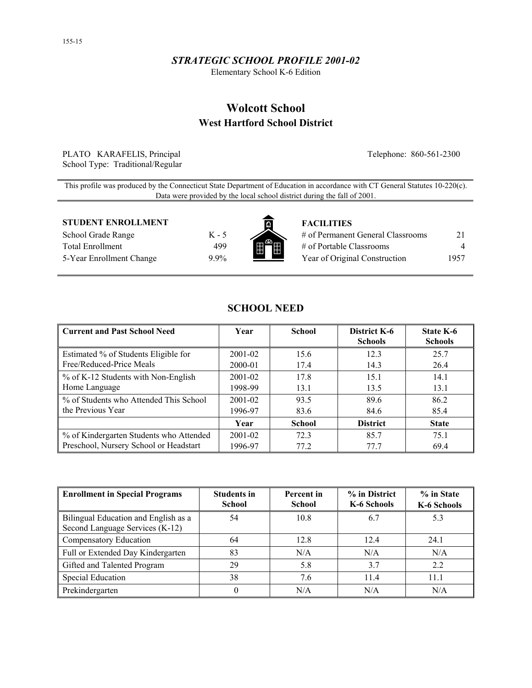## *STRATEGIC SCHOOL PROFILE 2001-02*

Elementary School K-6 Edition

# **Wolcott School West Hartford School District**

PLATO KARAFELIS, Principal Telephone: 860-561-2300 School Type: Traditional/Regular

This profile was produced by the Connecticut State Department of Education in accordance with CT General Statutes 10-220(c). Data were provided by the local school district during the fall of 2001.

#### **STUDENT ENROLLMENT FACILITIES**

School Grade Range K - 5 Total Enrollment 499 5-Year Enrollment Change 9.9%



| # of Permanent General Classrooms | 21   |
|-----------------------------------|------|
| # of Portable Classrooms          | 4    |
| Year of Original Construction     | 1957 |

| Current and Past School Need            | Year        | <b>School</b> | District K-6<br><b>Schools</b> | State K-6<br><b>Schools</b> |
|-----------------------------------------|-------------|---------------|--------------------------------|-----------------------------|
| Estimated % of Students Eligible for    | 2001-02     | 15.6          | 12.3                           | 25.7                        |
| Free/Reduced-Price Meals                | 2000-01     | 17.4          | 14.3                           | 26.4                        |
| ■ % of K-12 Students with Non-English   | $2001 - 02$ | 17.8          | 15.1                           | 14.1                        |
| Home Language                           | 1998-99     | 13.1          | 13.5                           | 13.1                        |
| % of Students who Attended This School  | $2001 - 02$ | 93.5          | 89.6                           | 86.2                        |
| the Previous Year                       | 1996-97     | 83.6          | 84.6                           | 85.4                        |
|                                         | Year        | <b>School</b> | <b>District</b>                | <b>State</b>                |
| % of Kindergarten Students who Attended | $2001 - 02$ | 72.3          | 85.7                           | 75.1                        |
| Preschool, Nursery School or Headstart  | 1996-97     | 77.2          | 77.7                           | 69.4                        |

**SCHOOL NEED** 

| <b>Enrollment in Special Programs</b>                                   | <b>Students in</b><br><b>School</b> | Percent in<br><b>School</b> | % in District<br>K-6 Schools | % in State<br>K-6 Schools |
|-------------------------------------------------------------------------|-------------------------------------|-----------------------------|------------------------------|---------------------------|
| Bilingual Education and English as a<br>Second Language Services (K-12) | 54                                  | 10.8                        | 6.7                          | 5.3                       |
| Compensatory Education                                                  | 64                                  | 12.8                        | 12.4                         | 24.1                      |
| Full or Extended Day Kindergarten                                       | 83                                  | N/A                         | N/A                          | N/A                       |
| Gifted and Talented Program                                             | 29                                  | 5.8                         | 37                           | 2.2                       |
| <b>Special Education</b>                                                | 38                                  | 7.6                         | 11.4                         | 11.1                      |
| Prekindergarten                                                         | 0                                   | N/A                         | N/A                          | N/A                       |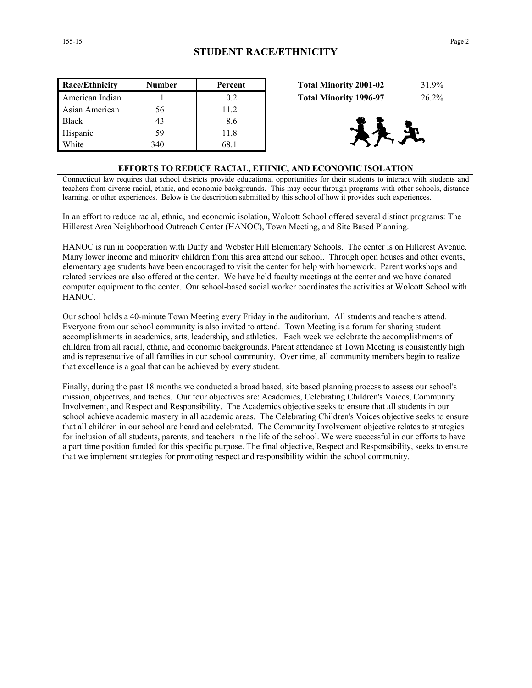Black 43 8.6 Hispanic 11.8 White 1 340 68.1

| <b>Total Minority 2001-02</b> | 31.9% |
|-------------------------------|-------|
| <b>Total Minority 1996-97</b> | 26.2% |



#### **EFFORTS TO REDUCE RACIAL, ETHNIC, AND ECONOMIC ISOLATION**

Connecticut law requires that school districts provide educational opportunities for their students to interact with students and teachers from diverse racial, ethnic, and economic backgrounds. This may occur through programs with other schools, distance learning, or other experiences. Below is the description submitted by this school of how it provides such experiences.

In an effort to reduce racial, ethnic, and economic isolation, Wolcott School offered several distinct programs: The Hillcrest Area Neighborhood Outreach Center (HANOC), Town Meeting, and Site Based Planning.

HANOC is run in cooperation with Duffy and Webster Hill Elementary Schools. The center is on Hillcrest Avenue. Many lower income and minority children from this area attend our school. Through open houses and other events, elementary age students have been encouraged to visit the center for help with homework. Parent workshops and related services are also offered at the center. We have held faculty meetings at the center and we have donated computer equipment to the center. Our school-based social worker coordinates the activities at Wolcott School with HANOC.

Our school holds a 40-minute Town Meeting every Friday in the auditorium. All students and teachers attend. Everyone from our school community is also invited to attend. Town Meeting is a forum for sharing student accomplishments in academics, arts, leadership, and athletics. Each week we celebrate the accomplishments of children from all racial, ethnic, and economic backgrounds. Parent attendance at Town Meeting is consistently high and is representative of all families in our school community. Over time, all community members begin to realize that excellence is a goal that can be achieved by every student.

Finally, during the past 18 months we conducted a broad based, site based planning process to assess our school's mission, objectives, and tactics. Our four objectives are: Academics, Celebrating Children's Voices, Community Involvement, and Respect and Responsibility. The Academics objective seeks to ensure that all students in our school achieve academic mastery in all academic areas. The Celebrating Children's Voices objective seeks to ensure that all children in our school are heard and celebrated. The Community Involvement objective relates to strategies for inclusion of all students, parents, and teachers in the life of the school. We were successful in our efforts to have a part time position funded for this specific purpose. The final objective, Respect and Responsibility, seeks to ensure that we implement strategies for promoting respect and responsibility within the school community.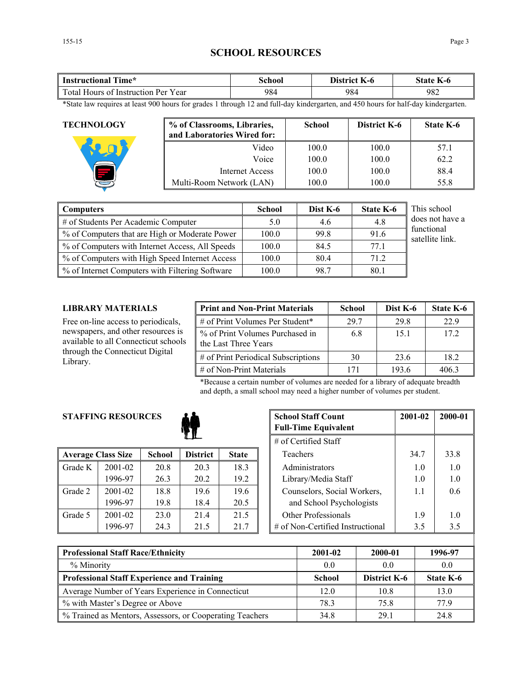## **SCHOOL RESOURCES**

| <b>Instructional Time*</b>          | School | District K-6 | <b>State K-6</b> |
|-------------------------------------|--------|--------------|------------------|
| Total Hours of Instruction Per Year | 984    | 984          | 982              |

\*State law requires at least 900 hours for grades 1 through 12 and full-day kindergarten, and 450 hours for half-day kindergarten.

| <b>TECHNOLOGY</b> | % of Classrooms, Libraries,<br>and Laboratories Wired for: | <b>School</b> | District K-6 | <b>State K-6</b> |
|-------------------|------------------------------------------------------------|---------------|--------------|------------------|
|                   | Video                                                      | 100.0         | 100.0        | 57.1             |
|                   | Voice                                                      | 100.0         | 100.0        | 62.2             |
|                   | Internet Access                                            | 100.0         | 100.0        | 88.4             |
|                   | Multi-Room Network (LAN)                                   | 100.0         | 100.0        | 55.8             |

| Computers                                       | <b>School</b> | Dist K-6 | <b>State K-6</b> | This school                   |
|-------------------------------------------------|---------------|----------|------------------|-------------------------------|
| # of Students Per Academic Computer             | 5.0           | 4.6      | 4.8              | does not have a               |
| % of Computers that are High or Moderate Power  | 100.0         | 99.8     | 91.6             | functional<br>satellite link. |
| % of Computers with Internet Access, All Speeds | 100.0         | 84.5     | 77.1             |                               |
| % of Computers with High Speed Internet Access  | 100.0         | 80.4     | 71.2             |                               |
| % of Internet Computers with Filtering Software | 100.0         | 98.7     | 80.1             |                               |

### **LIBRARY MATERIALS**

Free on-line access to periodicals, newspapers, and other resources is available to all Connecticut schools through the Connecticut Digital Library.

| <b>Print and Non-Print Materials</b>                    | <b>School</b> | Dist K-6 | State K-6 |
|---------------------------------------------------------|---------------|----------|-----------|
| # of Print Volumes Per Student*                         | 29.7          | 29.8     | 22.9      |
| % of Print Volumes Purchased in<br>the Last Three Years | 68            | 15.1     | 172       |
| # of Print Periodical Subscriptions                     | 30            | 23.6     | 18.2      |
| $\#$ of Non-Print Materials                             | 171           | 193.6    | 4063      |

\*Because a certain number of volumes are needed for a library of adequate breadth and depth, a small school may need a higher number of volumes per student.

## **STAFFING RESOURCES**



|         | <b>Average Class Size</b> | <b>School</b> | <b>District</b> | <b>State</b> |
|---------|---------------------------|---------------|-----------------|--------------|
| Grade K | $2001 - 02$               | 20.8          | 20.3            | 18.3         |
|         | 1996-97                   | 26.3          | 20.2            | 19.2         |
| Grade 2 | 2001-02                   | 18.8          | 19.6            | 19.6         |
|         | 1996-97                   | 19.8          | 18.4            | 20.5         |
| Grade 5 | 2001-02                   | 23.0          | 214             | 21.5         |
|         | 1996-97                   | 24.3          | 21.5            | 21.7         |

| <b>RESOURCES</b> |               | <b>School Staff Count</b><br><b>Full-Time Equivalent</b> | 2001-02      | 2000-01 |                                  |      |      |
|------------------|---------------|----------------------------------------------------------|--------------|---------|----------------------------------|------|------|
|                  |               |                                                          |              |         | $#$ of Certified Staff           |      |      |
| ass Size         | <b>School</b> | <b>District</b>                                          | <b>State</b> |         | Teachers                         | 34.7 | 33.8 |
| 2001-02          | 20.8          | 20.3                                                     | 18.3         |         | Administrators                   | 1.0  | 1.0  |
| 1996-97          | 26.3          | 20.2                                                     | 19.2         |         | Library/Media Staff              | 1.0  | 1.0  |
| 2001-02          | 18.8          | 19.6                                                     | 19.6         |         | Counselors, Social Workers,      | 1.1  | 0.6  |
| 1996-97          | 19.8          | 18.4                                                     | 20.5         |         | and School Psychologists         |      |      |
| 2001-02          | 23.0          | 21.4                                                     | 21.5         |         | <b>Other Professionals</b>       | 1.9  | 1.0  |
| 1996-97          | 24.3          | 21.5                                                     | 21.7         |         | # of Non-Certified Instructional | 3.5  | 3.5  |

| <b>Professional Staff Race/Ethnicity</b>                 | 2001-02       | 2000-01      | 1996-97   |
|----------------------------------------------------------|---------------|--------------|-----------|
| % Minority                                               | 0.0           | 0.0          | 0.0       |
| <b>Professional Staff Experience and Training</b>        | <b>School</b> | District K-6 | State K-6 |
| Average Number of Years Experience in Connecticut        | 12.0          | 10.8         | 13.0      |
| % with Master's Degree or Above                          | 78.3          | 75.8         | 77 9      |
| % Trained as Mentors, Assessors, or Cooperating Teachers | 34.8          | 29.1         | 24.8      |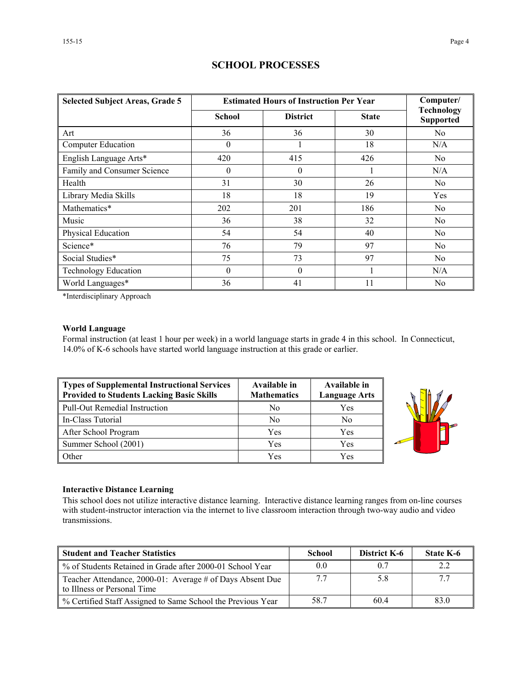| <b>Selected Subject Areas, Grade 5</b> |               | <b>Estimated Hours of Instruction Per Year</b> | Computer/    |                                       |
|----------------------------------------|---------------|------------------------------------------------|--------------|---------------------------------------|
|                                        | <b>School</b> | <b>District</b>                                | <b>State</b> | <b>Technology</b><br><b>Supported</b> |
| Art                                    | 36            | 36                                             | 30           | N <sub>0</sub>                        |
| Computer Education                     | $\theta$      |                                                | 18           | N/A                                   |
| English Language Arts*                 | 420           | 415                                            | 426          | N <sub>0</sub>                        |
| Family and Consumer Science            | $\theta$      | $\mathbf{0}$                                   |              | N/A                                   |
| Health                                 | 31            | 30                                             | 26           | N <sub>0</sub>                        |
| Library Media Skills                   | 18            | 18                                             | 19           | Yes                                   |
| Mathematics*                           | 202           | 201                                            | 186          | N <sub>0</sub>                        |
| Music                                  | 36            | 38                                             | 32           | N <sub>0</sub>                        |
| Physical Education                     | 54            | 54                                             | 40           | N <sub>0</sub>                        |
| Science*                               | 76            | 79                                             | 97           | N <sub>0</sub>                        |
| Social Studies*                        | 75            | 73                                             | 97           | No                                    |
| <b>Technology Education</b>            | $\theta$      | $\theta$                                       |              | N/A                                   |
| World Languages*                       | 36            | 41                                             | 11           | N <sub>0</sub>                        |

## **SCHOOL PROCESSES**

\*Interdisciplinary Approach

#### **World Language**

Formal instruction (at least 1 hour per week) in a world language starts in grade 4 in this school. In Connecticut, 14.0% of K-6 schools have started world language instruction at this grade or earlier.

| Types of Supplemental Instructional Services<br>Provided to Students Lacking Basic Skills | Available in<br><b>Mathematics</b> | Available in<br><b>Language Arts</b> |
|-------------------------------------------------------------------------------------------|------------------------------------|--------------------------------------|
| Pull-Out Remedial Instruction                                                             | No                                 | Yes                                  |
| In-Class Tutorial                                                                         | N <sub>0</sub>                     | No                                   |
| After School Program                                                                      | Yes                                | Yes                                  |
| Summer School (2001)                                                                      | Yes                                | Yes                                  |
| <b>Other</b>                                                                              | Yes                                | Yes                                  |



#### **Interactive Distance Learning**

This school does not utilize interactive distance learning. Interactive distance learning ranges from on-line courses with student-instructor interaction via the internet to live classroom interaction through two-way audio and video transmissions.

| <b>Student and Teacher Statistics</b>                                                    | School | <b>District K-6</b> | <b>State K-6</b> |
|------------------------------------------------------------------------------------------|--------|---------------------|------------------|
| ■ % of Students Retained in Grade after 2000-01 School Year                              | 0.0    | 0.7                 |                  |
| Teacher Attendance, 2000-01: Average # of Days Absent Due<br>to Illness or Personal Time |        | 5.8                 |                  |
| ■ % Certified Staff Assigned to Same School the Previous Year                            | 58.7   | 604                 | 83.0             |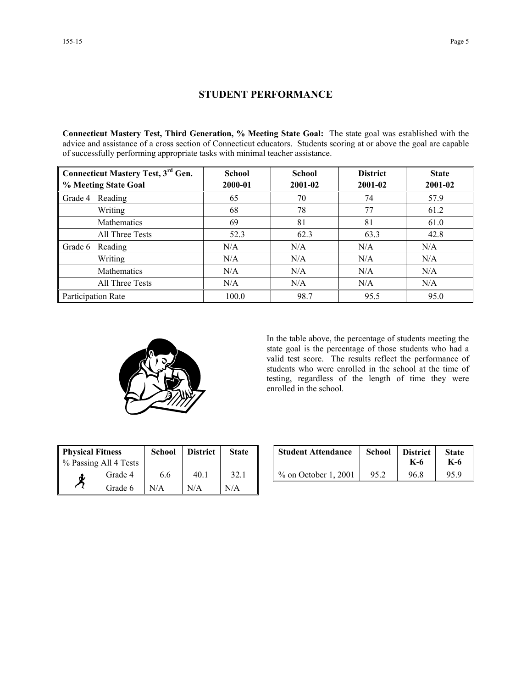## **STUDENT PERFORMANCE**

**Connecticut Mastery Test, Third Generation, % Meeting State Goal:** The state goal was established with the advice and assistance of a cross section of Connecticut educators. Students scoring at or above the goal are capable of successfully performing appropriate tasks with minimal teacher assistance.

| Connecticut Mastery Test, 3 <sup>rd</sup> Gen. | <b>School</b> | <b>School</b> | <b>District</b> | <b>State</b> |  |
|------------------------------------------------|---------------|---------------|-----------------|--------------|--|
| % Meeting State Goal                           | 2000-01       | 2001-02       | 2001-02         | 2001-02      |  |
| Reading<br>Grade 4                             | 65            | 70            | 74              | 57.9         |  |
| Writing                                        | 68            | 78            | 77              | 61.2         |  |
| Mathematics                                    | 69            | 81            | 81              | 61.0         |  |
| All Three Tests                                | 52.3          | 62.3          | 63.3            | 42.8         |  |
| Reading<br>Grade 6                             | N/A           | N/A           | N/A             | N/A          |  |
| Writing                                        | N/A           | N/A           | N/A             | N/A          |  |
| Mathematics                                    | N/A           | N/A           | N/A             | N/A          |  |
| All Three Tests                                | N/A           | N/A           | N/A             | N/A          |  |
| Participation Rate                             | 100.0         | 98.7          | 95.5            | 95.0         |  |



In the table above, the percentage of students meeting the state goal is the percentage of those students who had a valid test score. The results reflect the performance of students who were enrolled in the school at the time of testing, regardless of the length of time they were enrolled in the school.

| <b>Physical Fitness</b><br>% Passing All 4 Tests |         | <b>School</b> | <b>District</b> | <b>State</b> |
|--------------------------------------------------|---------|---------------|-----------------|--------------|
| đ.                                               | Grade 4 | 66            | 40.1            | 32.1         |
|                                                  | Grade 6 | N/A           | N/A             | N/A          |

| ness<br>ll 4 Tests | School | <b>District</b> | <b>State</b> | <b>Student Attendance</b> | School | <b>District</b><br>K-6 | <b>State</b><br>K-6 |
|--------------------|--------|-----------------|--------------|---------------------------|--------|------------------------|---------------------|
| Grade 4            | 6.6    | 40.1            | 32.1         | $\%$ on October 1, 2001   | 95.2   | 96.8                   | 95.9                |